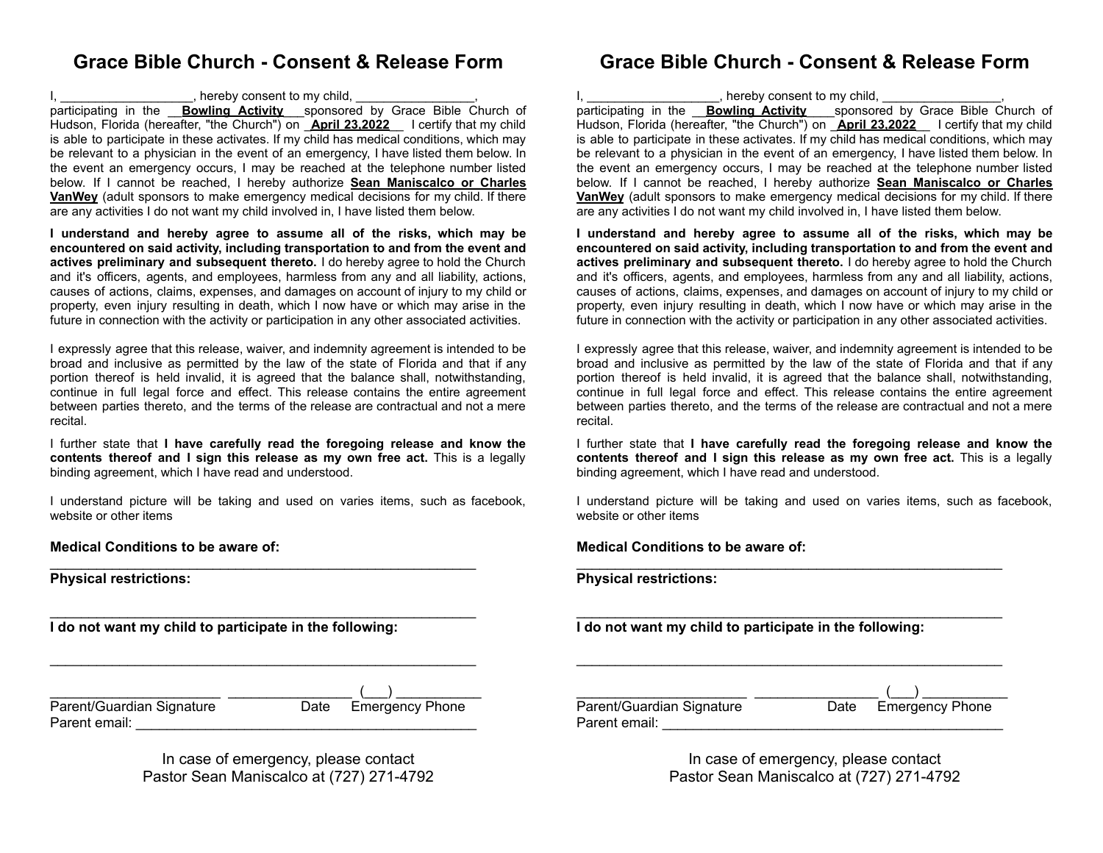## **Grace Bible Church - Consent & Release Form**

I, \_\_\_\_\_\_\_\_\_\_\_\_\_\_\_\_\_\_\_, hereby consent to my child, \_\_\_\_\_\_\_\_\_\_\_\_\_\_\_\_\_,

participating in the \_\_**Bowling Activity**\_\_\_sponsored by Grace Bible Church of Hudson, Florida (hereafter, "the Church") on \_**April 23,2022**\_\_ I certify that my child is able to participate in these activates. If my child has medical conditions, which may be relevant to a physician in the event of an emergency, I have listed them below. In the event an emergency occurs, I may be reached at the telephone number listed below. If I cannot be reached, I hereby authorize **Sean Maniscalco or Charles VanWey** (adult sponsors to make emergency medical decisions for my child. If there are any activities I do not want my child involved in, I have listed them below.

**I understand and hereby agree to assume all of the risks, which may be encountered on said activity, including transportation to and from the event and actives preliminary and subsequent thereto.** I do hereby agree to hold the Church and it's officers, agents, and employees, harmless from any and all liability, actions, causes of actions, claims, expenses, and damages on account of injury to my child or property, even injury resulting in death, which I now have or which may arise in the future in connection with the activity or participation in any other associated activities.

I expressly agree that this release, waiver, and indemnity agreement is intended to be broad and inclusive as permitted by the law of the state of Florida and that if any portion thereof is held invalid, it is agreed that the balance shall, notwithstanding, continue in full legal force and effect. This release contains the entire agreement between parties thereto, and the terms of the release are contractual and not a mere recital.

I further state that **I have carefully read the foregoing release and know the contents thereof and I sign this release as my own free act.** This is a legally binding agreement, which I have read and understood.

I understand picture will be taking and used on varies items, such as facebook, website or other items

 $\mathcal{L}_\text{max}$  , and the set of the set of the set of the set of the set of the set of the set of the set of the set of the set of the set of the set of the set of the set of the set of the set of the set of the set of the

 $\mathcal{L}_\text{max}$  , and the set of the set of the set of the set of the set of the set of the set of the set of the set of the set of the set of the set of the set of the set of the set of the set of the set of the set of the

 $\mathcal{L}_\text{max}$  , and the set of the set of the set of the set of the set of the set of the set of the set of the set of the set of the set of the set of the set of the set of the set of the set of the set of the set of the

**Medical Conditions to be aware of:**

**Physical restrictions:**

**I do not want my child to participate in the following:**

| Parent/Guardian Signature | Date Emergency Phone |
|---------------------------|----------------------|
| Parent email:             |                      |

In case of emergency, please contact Pastor Sean Maniscalco at (727) 271-4792

### **Grace Bible Church - Consent & Release Form**

I, \_\_\_\_\_\_\_\_\_\_\_\_\_\_\_\_\_\_\_, hereby consent to my child, \_\_\_\_\_\_\_\_\_\_\_\_\_\_\_\_\_, participating in the \_\_**Bowling Activity**\_\_\_\_sponsored by Grace Bible Church of Hudson, Florida (hereafter, "the Church") on \_**April 23,2022**\_\_ I certify that my child is able to participate in these activates. If my child has medical conditions, which may be relevant to a physician in the event of an emergency, I have listed them below. In the event an emergency occurs, I may be reached at the telephone number listed below. If I cannot be reached, I hereby authorize **Sean Maniscalco or Charles VanWey** (adult sponsors to make emergency medical decisions for my child. If there are any activities I do not want my child involved in, I have listed them below.

**I understand and hereby agree to assume all of the risks, which may be encountered on said activity, including transportation to and from the event and actives preliminary and subsequent thereto.** I do hereby agree to hold the Church and it's officers, agents, and employees, harmless from any and all liability, actions, causes of actions, claims, expenses, and damages on account of injury to my child or property, even injury resulting in death, which I now have or which may arise in the future in connection with the activity or participation in any other associated activities.

I expressly agree that this release, waiver, and indemnity agreement is intended to be broad and inclusive as permitted by the law of the state of Florida and that if any portion thereof is held invalid, it is agreed that the balance shall, notwithstanding, continue in full legal force and effect. This release contains the entire agreement between parties thereto, and the terms of the release are contractual and not a mere recital.

I further state that **I have carefully read the foregoing release and know the contents thereof and I sign this release as my own free act.** This is a legally binding agreement, which I have read and understood.

I understand picture will be taking and used on varies items, such as facebook, website or other items

 $\mathcal{L}_\text{max}$  , and the set of the set of the set of the set of the set of the set of the set of the set of the set of the set of the set of the set of the set of the set of the set of the set of the set of the set of the

 $\mathcal{L}_\text{max}$  , and the set of the set of the set of the set of the set of the set of the set of the set of the set of the set of the set of the set of the set of the set of the set of the set of the set of the set of the

 $\mathcal{L}_\text{max}$  , and the set of the set of the set of the set of the set of the set of the set of the set of the set of the set of the set of the set of the set of the set of the set of the set of the set of the set of the

#### **Medical Conditions to be aware of:**

**Physical restrictions:**

**I do not want my child to participate in the following:**

\_\_\_\_\_\_\_\_\_\_\_\_\_\_\_\_\_\_\_\_\_\_ \_\_\_\_\_\_\_\_\_\_\_\_\_\_\_\_ (\_\_\_) \_\_\_\_\_\_\_\_\_\_\_ Parent/Guardian Signature **Date** Emergency Phone Parent email: \_\_\_\_\_\_\_\_\_\_\_\_\_\_\_\_\_\_\_\_\_\_\_\_\_\_\_\_\_\_\_\_\_\_\_\_\_\_\_\_\_\_\_\_

> In case of emergency, please contact Pastor Sean Maniscalco at (727) 271-4792